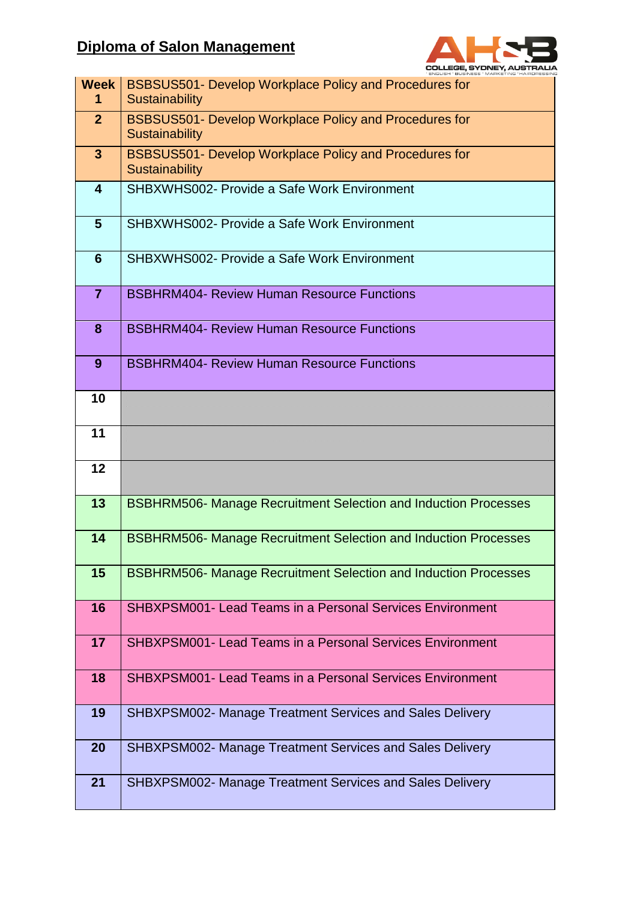## **Diploma of Salon Management**



| Week<br>1               | <b>BSBSUS501- Develop Workplace Policy and Procedures for</b><br><b>Sustainability</b> |
|-------------------------|----------------------------------------------------------------------------------------|
| 2 <sup>2</sup>          | <b>BSBSUS501- Develop Workplace Policy and Procedures for</b><br><b>Sustainability</b> |
| $\overline{\mathbf{3}}$ | BSBSUS501- Develop Workplace Policy and Procedures for<br><b>Sustainability</b>        |
| $\overline{\mathbf{4}}$ | SHBXWHS002- Provide a Safe Work Environment                                            |
| $5\phantom{1}$          | <b>SHBXWHS002- Provide a Safe Work Environment</b>                                     |
| $6\phantom{1}6$         | SHBXWHS002- Provide a Safe Work Environment                                            |
| $\overline{7}$          | <b>BSBHRM404- Review Human Resource Functions</b>                                      |
| 8                       | <b>BSBHRM404- Review Human Resource Functions</b>                                      |
| 9                       | <b>BSBHRM404- Review Human Resource Functions</b>                                      |
| 10                      |                                                                                        |
| 11                      |                                                                                        |
| 12                      |                                                                                        |
| 13                      | <b>BSBHRM506- Manage Recruitment Selection and Induction Processes</b>                 |
| 14                      | <b>BSBHRM506- Manage Recruitment Selection and Induction Processes</b>                 |
| 15                      | <b>BSBHRM506- Manage Recruitment Selection and Induction Processes</b>                 |
| 16                      | <b>SHBXPSM001- Lead Teams in a Personal Services Environment</b>                       |
| 17                      | <b>SHBXPSM001- Lead Teams in a Personal Services Environment</b>                       |
| 18                      | SHBXPSM001- Lead Teams in a Personal Services Environment                              |
| 19                      | <b>SHBXPSM002- Manage Treatment Services and Sales Delivery</b>                        |
| 20                      | <b>SHBXPSM002- Manage Treatment Services and Sales Delivery</b>                        |
| 21                      | <b>SHBXPSM002- Manage Treatment Services and Sales Delivery</b>                        |